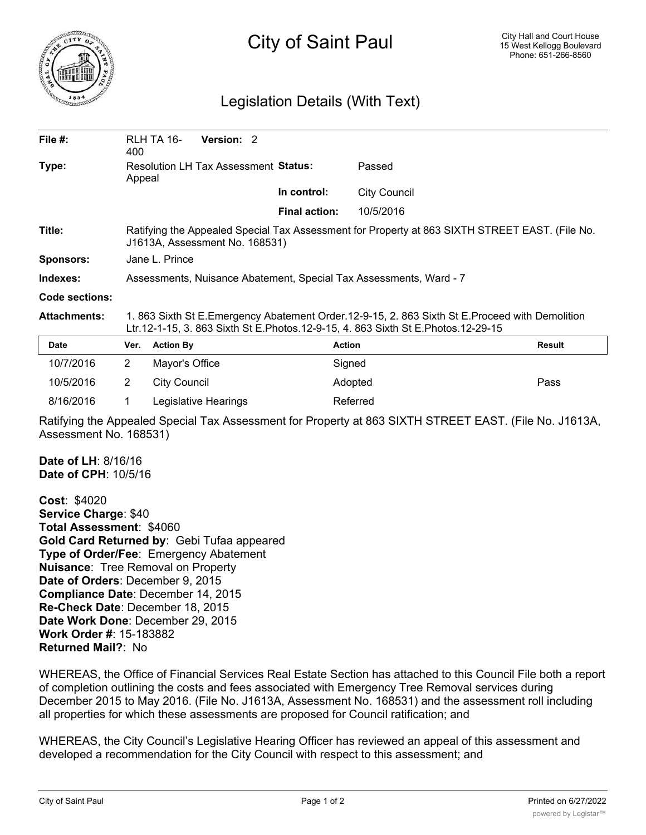

## City of Saint Paul

## Legislation Details (With Text)

| File $#$ :          | 400                                                                                                                                                                                | RLH TA 16-<br><b>Version: 2</b>      |                      |                     |               |
|---------------------|------------------------------------------------------------------------------------------------------------------------------------------------------------------------------------|--------------------------------------|----------------------|---------------------|---------------|
| Type:               | Appeal                                                                                                                                                                             | Resolution LH Tax Assessment Status: |                      | Passed              |               |
|                     |                                                                                                                                                                                    |                                      | In control:          | <b>City Council</b> |               |
|                     |                                                                                                                                                                                    |                                      | <b>Final action:</b> | 10/5/2016           |               |
| Title:              | Ratifying the Appealed Special Tax Assessment for Property at 863 SIXTH STREET EAST. (File No.<br>J1613A, Assessment No. 168531)                                                   |                                      |                      |                     |               |
| <b>Sponsors:</b>    | Jane L. Prince                                                                                                                                                                     |                                      |                      |                     |               |
| Indexes:            | Assessments, Nuisance Abatement, Special Tax Assessments, Ward - 7                                                                                                                 |                                      |                      |                     |               |
| Code sections:      |                                                                                                                                                                                    |                                      |                      |                     |               |
| <b>Attachments:</b> | 1. 863 Sixth St E.Emergency Abatement Order.12-9-15, 2. 863 Sixth St E.Proceed with Demolition<br>Ltr.12-1-15, 3. 863 Sixth St E.Photos.12-9-15, 4. 863 Sixth St E.Photos.12-29-15 |                                      |                      |                     |               |
| Date                | Ver.                                                                                                                                                                               | <b>Action By</b>                     |                      | <b>Action</b>       | <b>Result</b> |
| 10/7/2016           | $\overline{2}$                                                                                                                                                                     | Mayor's Office                       |                      | Signed              |               |
| 10/5/2016           | $\overline{2}$                                                                                                                                                                     | <b>City Council</b>                  |                      | Adopted             | Pass          |
| 8/16/2016           |                                                                                                                                                                                    | Legislative Hearings                 |                      | Referred            |               |

Ratifying the Appealed Special Tax Assessment for Property at 863 SIXTH STREET EAST. (File No. J1613A, Assessment No. 168531)

**Date of LH**: 8/16/16 **Date of CPH**: 10/5/16

**Cost**: \$4020 **Service Charge**: \$40 **Total Assessment**: \$4060 **Gold Card Returned by**: Gebi Tufaa appeared **Type of Order/Fee**: Emergency Abatement **Nuisance**: Tree Removal on Property **Date of Orders**: December 9, 2015 **Compliance Date**: December 14, 2015 **Re-Check Date**: December 18, 2015 **Date Work Done**: December 29, 2015 **Work Order #**: 15-183882 **Returned Mail?**: No

WHEREAS, the Office of Financial Services Real Estate Section has attached to this Council File both a report of completion outlining the costs and fees associated with Emergency Tree Removal services during December 2015 to May 2016. (File No. J1613A, Assessment No. 168531) and the assessment roll including all properties for which these assessments are proposed for Council ratification; and

WHEREAS, the City Council's Legislative Hearing Officer has reviewed an appeal of this assessment and developed a recommendation for the City Council with respect to this assessment; and